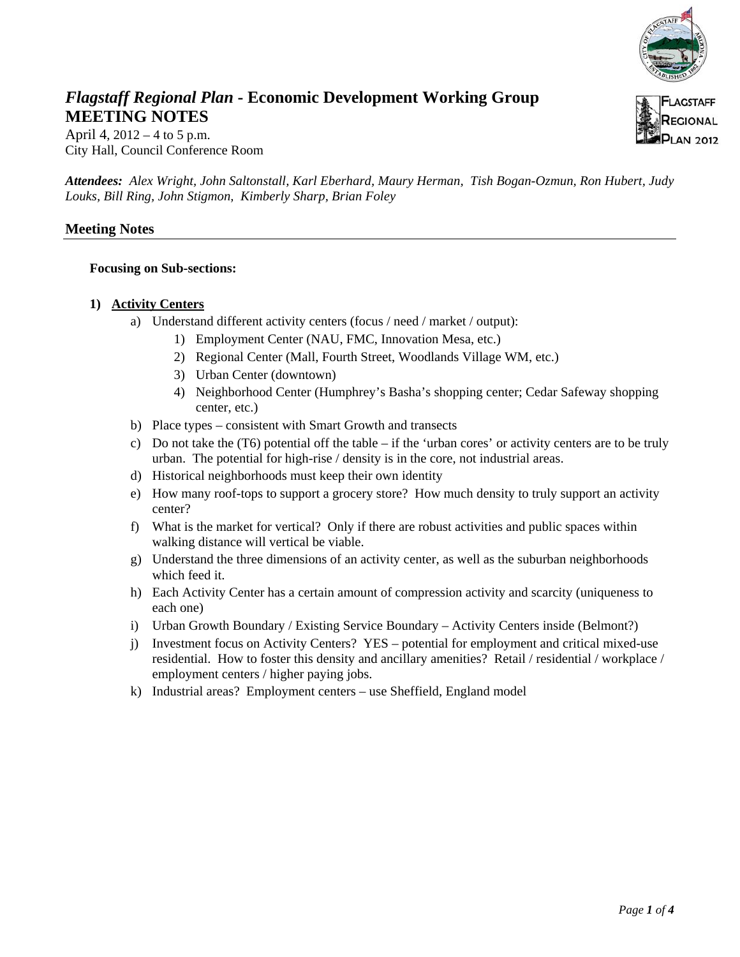

# *Flagstaff Regional Plan* **- Economic Development Working Group MEETING NOTES**

April 4, 2012 – 4 to 5 p.m. City Hall, Council Conference Room

*Attendees: Alex Wright, John Saltonstall, Karl Eberhard, Maury Herman, Tish Bogan-Ozmun, Ron Hubert, Judy Louks, Bill Ring, John Stigmon, Kimberly Sharp, Brian Foley* 

# **Meeting Notes**

### **Focusing on Sub-sections:**

### **1) Activity Centers**

- a) Understand different activity centers (focus / need / market / output):
	- 1) Employment Center (NAU, FMC, Innovation Mesa, etc.)
	- 2) Regional Center (Mall, Fourth Street, Woodlands Village WM, etc.)
	- 3) Urban Center (downtown)
	- 4) Neighborhood Center (Humphrey's Basha's shopping center; Cedar Safeway shopping center, etc.)
- b) Place types consistent with Smart Growth and transects
- c) Do not take the  $(T6)$  potential off the table if the 'urban cores' or activity centers are to be truly urban. The potential for high-rise / density is in the core, not industrial areas.
- d) Historical neighborhoods must keep their own identity
- e) How many roof-tops to support a grocery store? How much density to truly support an activity center?
- f) What is the market for vertical? Only if there are robust activities and public spaces within walking distance will vertical be viable.
- g) Understand the three dimensions of an activity center, as well as the suburban neighborhoods which feed it.
- h) Each Activity Center has a certain amount of compression activity and scarcity (uniqueness to each one)
- i) Urban Growth Boundary / Existing Service Boundary Activity Centers inside (Belmont?)
- j) Investment focus on Activity Centers? YES potential for employment and critical mixed-use residential. How to foster this density and ancillary amenities? Retail / residential / workplace / employment centers / higher paying jobs.
- k) Industrial areas? Employment centers use Sheffield, England model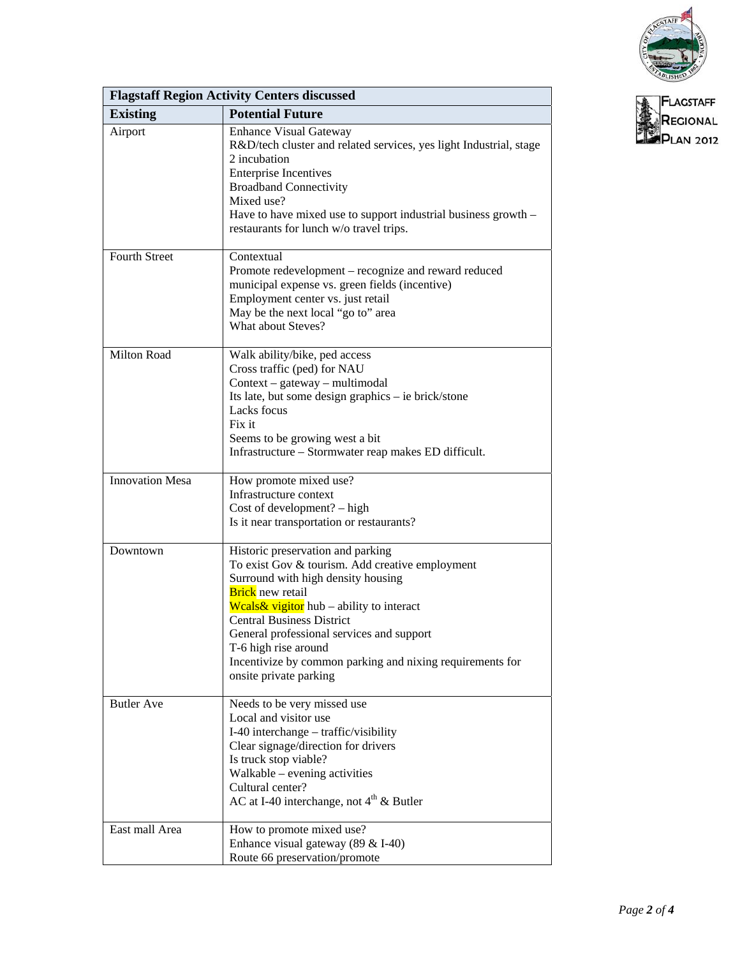

FLAGSTAFF Regional AN 2012

| <b>Flagstaff Region Activity Centers discussed</b> |                                                                                                                                                                                                                                                                                                                                                                                            |  |
|----------------------------------------------------|--------------------------------------------------------------------------------------------------------------------------------------------------------------------------------------------------------------------------------------------------------------------------------------------------------------------------------------------------------------------------------------------|--|
| <b>Existing</b>                                    | <b>Potential Future</b>                                                                                                                                                                                                                                                                                                                                                                    |  |
| Airport                                            | <b>Enhance Visual Gateway</b><br>R&D/tech cluster and related services, yes light Industrial, stage<br>2 incubation<br><b>Enterprise Incentives</b><br><b>Broadband Connectivity</b><br>Mixed use?<br>Have to have mixed use to support industrial business growth –<br>restaurants for lunch w/o travel trips.                                                                            |  |
| <b>Fourth Street</b>                               | Contextual<br>Promote redevelopment – recognize and reward reduced<br>municipal expense vs. green fields (incentive)<br>Employment center vs. just retail<br>May be the next local "go to" area<br>What about Steves?                                                                                                                                                                      |  |
| Milton Road                                        | Walk ability/bike, ped access<br>Cross traffic (ped) for NAU<br>$Context - gateway - multimodal$<br>Its late, but some design graphics – ie brick/stone<br>Lacks focus<br>Fix it<br>Seems to be growing west a bit<br>Infrastructure – Stormwater reap makes ED difficult.                                                                                                                 |  |
| <b>Innovation Mesa</b>                             | How promote mixed use?<br>Infrastructure context<br>Cost of development? - high<br>Is it near transportation or restaurants?                                                                                                                                                                                                                                                               |  |
| Downtown                                           | Historic preservation and parking<br>To exist Gov & tourism. Add creative employment<br>Surround with high density housing<br><b>Brick</b> new retail<br>Weals& vigitor hub - ability to interact<br>Central Business District<br>General professional services and support<br>T-6 high rise around<br>Incentivize by common parking and nixing requirements for<br>onsite private parking |  |
| <b>Butler Ave</b>                                  | Needs to be very missed use<br>Local and visitor use<br>I-40 interchange $-$ traffic/visibility<br>Clear signage/direction for drivers<br>Is truck stop viable?<br>Walkable – evening activities<br>Cultural center?<br>AC at I-40 interchange, not $4^{th}$ & Butler                                                                                                                      |  |
| East mall Area                                     | How to promote mixed use?<br>Enhance visual gateway (89 & I-40)<br>Route 66 preservation/promote                                                                                                                                                                                                                                                                                           |  |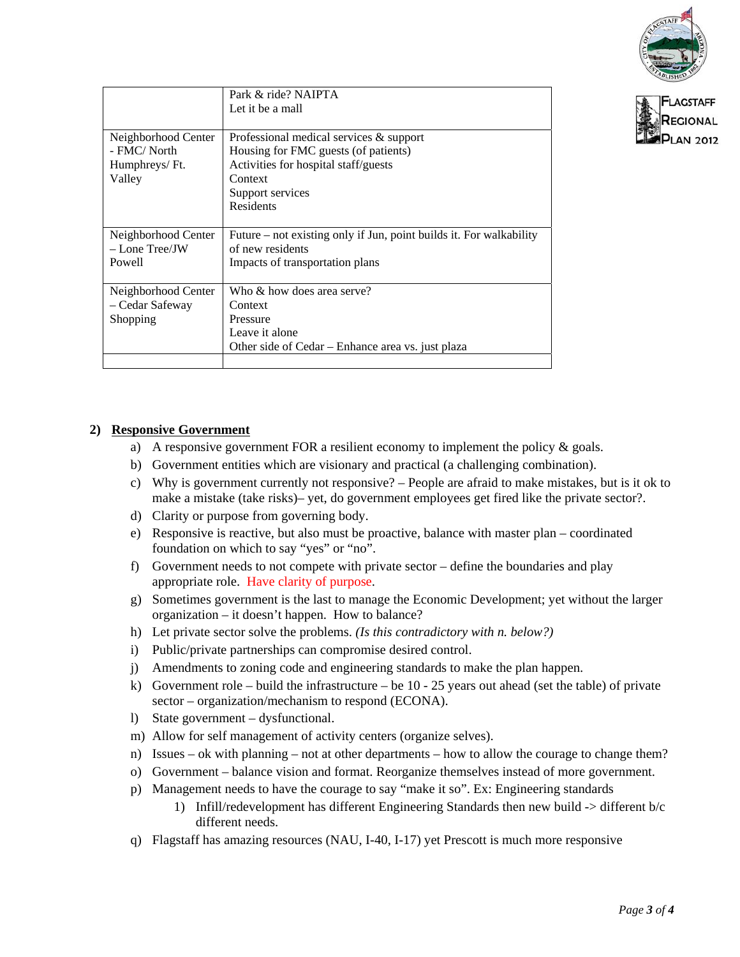

|                                                               | Park & ride? NAIPTA<br>Let it be a mall                                                                                                                                |
|---------------------------------------------------------------|------------------------------------------------------------------------------------------------------------------------------------------------------------------------|
| Neighborhood Center<br>- FMC/North<br>Humphreys/Ft.<br>Valley | Professional medical services $\&$ support<br>Housing for FMC guests (of patients)<br>Activities for hospital staff/guests<br>Context<br>Support services<br>Residents |
| Neighborhood Center<br>$-$ Lone Tree/JW<br>Powell             | Future – not existing only if Jun, point builds it. For walkability<br>of new residents<br>Impacts of transportation plans                                             |
| Neighborhood Center<br>- Cedar Safeway<br>Shopping            | Who & how does area serve?<br>Context<br>Pressure<br>Leave it alone<br>Other side of Cedar – Enhance area vs. just plaza                                               |

## **2) Responsive Government**

- a) A responsive government FOR a resilient economy to implement the policy  $\&$  goals.
- b) Government entities which are visionary and practical (a challenging combination).
- c) Why is government currently not responsive? People are afraid to make mistakes, but is it ok to make a mistake (take risks)– yet, do government employees get fired like the private sector?.
- d) Clarity or purpose from governing body.
- e) Responsive is reactive, but also must be proactive, balance with master plan coordinated foundation on which to say "yes" or "no".
- f) Government needs to not compete with private sector define the boundaries and play appropriate role. Have clarity of purpose.
- g) Sometimes government is the last to manage the Economic Development; yet without the larger organization – it doesn't happen. How to balance?
- h) Let private sector solve the problems. *(Is this contradictory with n. below?)*
- i) Public/private partnerships can compromise desired control.
- j) Amendments to zoning code and engineering standards to make the plan happen.
- k) Government role build the infrastructure be  $10 25$  years out ahead (set the table) of private sector – organization/mechanism to respond (ECONA).
- l) State government dysfunctional.
- m) Allow for self management of activity centers (organize selves).
- n) Issues ok with planning not at other departments how to allow the courage to change them?
- o) Government balance vision and format. Reorganize themselves instead of more government.
- p) Management needs to have the courage to say "make it so". Ex: Engineering standards
	- 1) Infill/redevelopment has different Engineering Standards then new build -> different b/c different needs.
- q) Flagstaff has amazing resources (NAU, I-40, I-17) yet Prescott is much more responsive